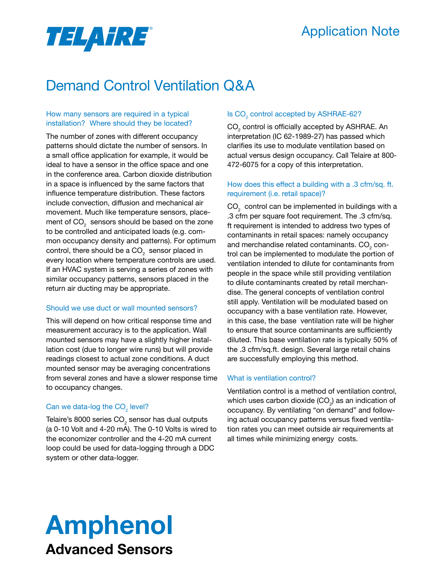## Application Note

# TELA FRE®

## Demand Control Ventilation Q&A

## How many sensors are required in a typical installation? Where should they be located?

The number of zones with different occupancy patterns should dictate the number of sensors. In a small office application for example, it would be ideal to have a sensor in the office space and one in the conference area. Carbon dioxide distribution in a space is influenced by the same factors that influence temperature distribution. These factors include convection, diffusion and mechanical air movement. Much like temperature sensors, placement of CO $_{_2}$  sensors should be based on the zone to be controlled and anticipated loads (e.g. common occupancy density and patterns). For optimum control, there should be a CO $_{\rm _2}$  sensor placed in every location where temperature controls are used. If an HVAC system is serving a series of zones with similar occupancy patterns, sensors placed in the return air ducting may be appropriate.

## Should we use duct or wall mounted sensors?

This will depend on how critical response time and measurement accuracy is to the application. Wall mounted sensors may have a slightly higher installation cost (due to longer wire runs) but will provide readings closest to actual zone conditions. A duct mounted sensor may be averaging concentrations from several zones and have a slower response time to occupancy changes.

## Can we data-log the  $\text{CO}_2$  level?

Telaire's 8000 series CO $_{\tiny 2}$  sensor has dual outputs (a 0-10 Volt and 4-20 mA). The 0-10 Volts is wired to the economizer controller and the 4-20 mA current loop could be used for data-logging through a DDC system or other data-logger.

## Is  $\text{CO}_2$  control accepted by ASHRAE-62?

 $\mathsf{CO}_2$  control is officially accepted by ASHRAE. An interpretation (IC 62-1989-27) has passed which clarifies its use to modulate ventilation based on actual versus design occupancy. Call Telaire at 800- 472-6075 for a copy of this interpretation.

## How does this effect a building with a .3 cfm/sq. ft. requirement (i.e. retail space)?

 $\mathsf{CO}_2^-$  control can be implemented in buildings with a .3 cfm per square foot requirement. The .3 cfm/sq. ft requirement is intended to address two types of contaminants in retail spaces: namely occupancy and merchandise related contaminants. CO $_{_2}$  control can be implemented to modulate the portion of ventilation intended to dilute for contaminants from people in the space while still providing ventilation to dilute contaminants created by retail merchandise. The general concepts of ventilation control still apply. Ventilation will be modulated based on occupancy with a base ventilation rate. However, in this case, the base ventilation rate will be higher to ensure that source contaminants are sufficiently diluted. This base ventilation rate is typically 50% of the .3 cfm/sq.ft. design. Several large retail chains are successfully employing this method.

## What is ventilation control?

Ventilation control is a method of ventilation control, which uses carbon dioxide (CO $_{\textrm{\tiny{2}}})$  as an indication of occupancy. By ventilating "on demand" and following actual occupancy patterns versus fixed ventilation rates you can meet outside air requirements at all times while minimizing energy costs.

## Amphenol Advanced Sensors